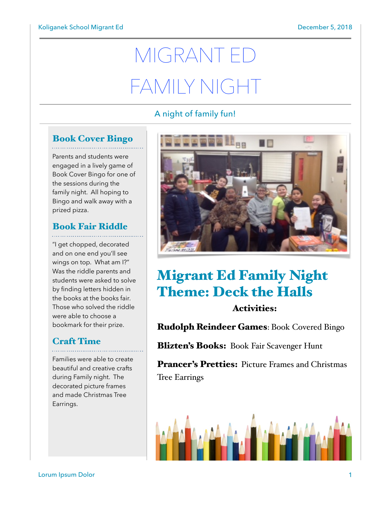# MIGRANT ED FAMILY NIGHT

### A night of family fun!

### Book Cover Bingo

Parents and students were engaged in a lively game of Book Cover Bingo for one of the sessions during the family night. All hoping to Bingo and walk away with a prized pizza.

# Book Fair Riddle

"I get chopped, decorated and on one end you'll see wings on top. What am I?" Was the riddle parents and students were asked to solve by finding letters hidden in the books at the books fair. Those who solved the riddle were able to choose a bookmark for their prize.

## Craft Time

Families were able to create beautiful and creative crafts during Family night. The decorated picture frames and made Christmas Tree Earrings.



# Migrant Ed Family Night Theme: Deck the Halls

Activities:

Rudolph Reindeer Games: Book Covered Bingo

Blizten's Books: Book Fair Scavenger Hunt

Prancer's Pretties: Picture Frames and Christmas Tree Earrings